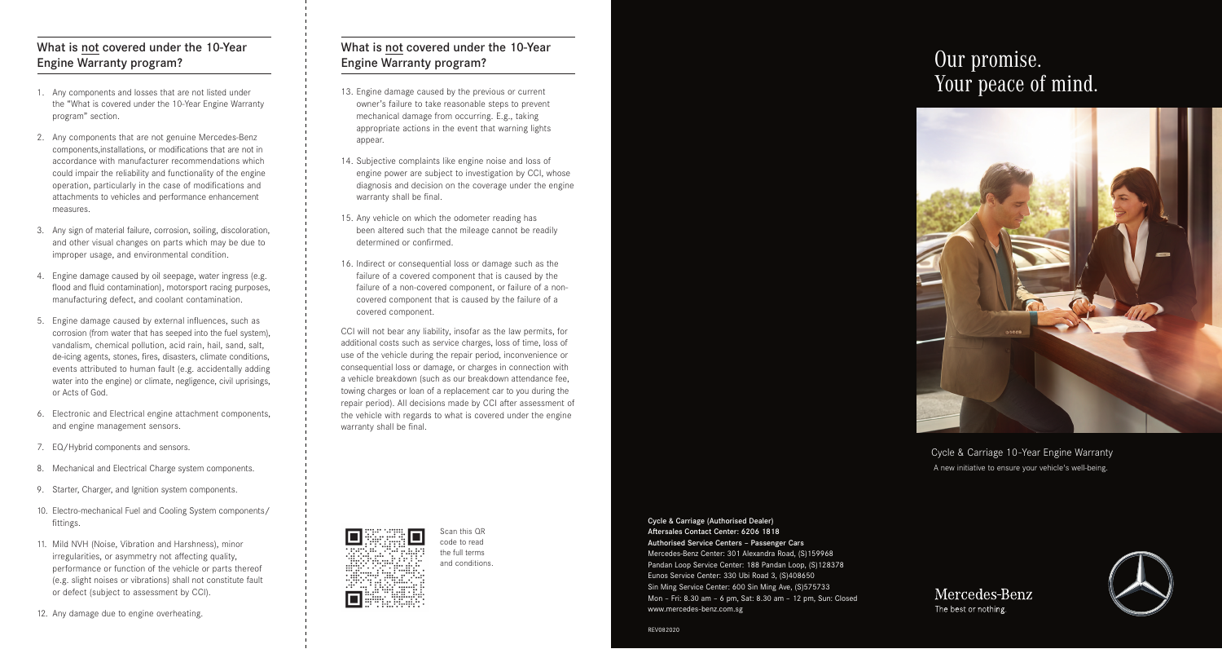# What is not covered under the 10-Year Engine Warranty program?

- 1. Any components and losses that are not listed under the "What is covered under the 10-Year Engine Warranty program" section.
- 2. Any components that are not genuine Mercedes-Benz components,installations, or modifications that are not in accordance with manufacturer recommendations which could impair the reliability and functionality of the engine operation, particularly in the case of modifications and attachments to vehicles and performance enhancement measures.
- 3. Any sign of material failure, corrosion, soiling, discoloration, and other visual changes on parts which may be due to improper usage, and environmental condition.
- 4. Engine damage caused by oil seepage, water ingress (e.g. flood and fluid contamination), motorsport racing purposes, manufacturing defect, and coolant contamination.
- 5. Engine damage caused by external influences, such as corrosion (from water that has seeped into the fuel system), vandalism, chemical pollution, acid rain, hail, sand, salt, de-icing agents, stones, fires, disasters, climate conditions, events attributed to human fault (e.g. accidentally adding water into the engine) or climate, negligence, civil uprisings, or Acts of God.
- 6. Electronic and Electrical engine attachment components, and engine management sensors.
- 7. EQ/Hybrid components and sensors.
- 8. Mechanical and Electrical Charge system components.
- 9. Starter, Charger, and Ignition system components.
- 10. Electro-mechanical Fuel and Cooling System components/ fittings.
- 11. Mild NVH (Noise, Vibration and Harshness), minor irregularities, or asymmetry not affecting quality, performance or function of the vehicle or parts thereof (e.g. slight noises or vibrations) shall not constitute fault or defect (subject to assessment by CCI).
- 12. Any damage due to engine overheating.

# What is not covered under the 10-Year Engine Warranty program?

- 13. Engine damage caused by the previous or current owner's failure to take reasonable steps to prevent mechanical damage from occurring. E.g., taking appropriate actions in the event that warning lights appear.
- 14. Subjective complaints like engine noise and loss of engine power are subject to investigation by CCI, whose diagnosis and decision on the coverage under the engine warranty shall be final.
- 15. Any vehicle on which the odometer reading has been altered such that the mileage cannot be readily determined or confirmed.
- 16. Indirect or consequential loss or damage such as the failure of a covered component that is caused by the failure of a non-covered component, or failure of a noncovered component that is caused by the failure of a covered component.

CCI will not bear any liability, insofar as the law permits, for additional costs such as service charges, loss of time, loss of use of the vehicle during the repair period, inconvenience or consequential loss or damage, or charges in connection with a vehicle breakdown (such as our breakdown attendance fee, towing charges or loan of a replacement car to you during the repair period). All decisions made by CCI after assessment of the vehicle with regards to what is covered under the engine warranty shall be final.





Cycle & Carriage 10-Year Engine Warranty A new initiative to ensure your vehicle's well-being.



Scan this QR code to read the full terms and conditions.

Cycle & Carriage (Authorised Dealer) Aftersales Contact Center: 6206 1818 Authorised Service Centers – Passenger Cars Mercedes-Benz Center: 301 Alexandra Road, (S)159968 Pandan Loop Service Center: 188 Pandan Loop, (S)128378 Eunos Service Center: 330 Ubi Road 3, (S)408650 Sin Ming Service Center: 600 Sin Ming Ave, (S)575733 Mon – Fri: 8.30 am – 6 pm, Sat: 8.30 am – 12 pm, Sun: Closed www.mercedes-benz.com.sg

Mercedes-Benz The best or nothing.



REV082020